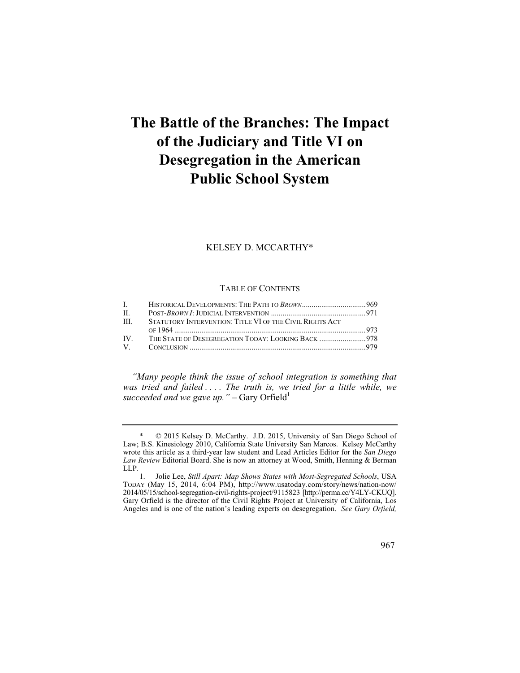# **The Battle of the Branches: The Impact of the Judiciary and Title VI on Desegregation in the American Public School System**

KELSEY D. MCCARTHY\*

### TABLE OF CONTENTS

| $\mathbf{L}$ and $\mathbf{L}$ |                                                          |  |
|-------------------------------|----------------------------------------------------------|--|
| $\Pi$ .                       |                                                          |  |
| HI.                           | STATUTORY INTERVENTION: TITLE VI OF THE CIVIL RIGHTS ACT |  |
|                               |                                                          |  |
| IV —                          |                                                          |  |
|                               |                                                          |  |

*"Many people think the issue of school integration is something that was tried and failed . . . . The truth is, we tried for a little while, we succeeded and we gave up.* " $-$  Gary Orfield<sup>1</sup>

<sup>\* © 2015</sup> Kelsey D. McCarthy. J.D. 2015, University of San Diego School of Law; B.S. Kinesiology 2010, California State University San Marcos. Kelsey McCarthy wrote this article as a third-year law student and Lead Articles Editor for the *San Diego Law Review* Editorial Board. She is now an attorney at Wood, Smith, Henning & Berman LLP.<br> $\frac{1}{1}$ .

 1. Jolie Lee, *Still Apart: Map Shows States with Most-Segregated Schools*, USA 2014/05/15/school-segregation-civil-rights-project/9115823 [http://perma.cc/Y4LY-CKUQ]. TODAY (May 15, 2014, 6:04 PM), http://www.usatoday.com/story/news/nation-now/ Gary Orfield is the director of the Civil Rights Project at University of California, Los Angeles and is one of the nation's leading experts on desegregation. *See Gary Orfield,*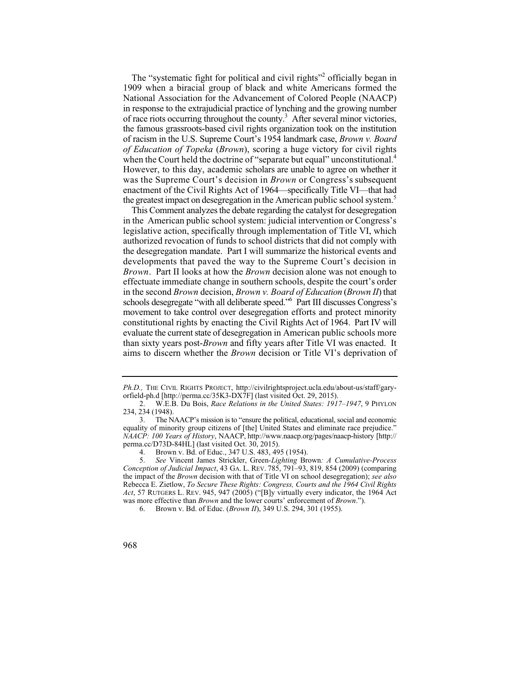of race riots occurring throughout the county.<sup>3</sup> After several minor victories, However, to this day, academic scholars are unable to agree on whether it was the Supreme Court's decision in *Brown* or Congress's subsequent enactment of the Civil Rights Act of 1964—specifically Title VI—that had the greatest impact on desegregation in the American public school system.<sup>5</sup> The "systematic fight for political and civil rights"<sup>2</sup> officially began in 1909 when a biracial group of black and white Americans formed the National Association for the Advancement of Colored People (NAACP) in response to the extrajudicial practice of lynching and the growing number the famous grassroots-based civil rights organization took on the institution of racism in the U.S. Supreme Court's 1954 landmark case, *Brown v. Board of Education of Topeka* (*Brown*), scoring a huge victory for civil rights when the Court held the doctrine of "separate but equal" unconstitutional.<sup>4</sup>

 the desegregation mandate. Part I will summarize the historical events and movement to take control over desegregation efforts and protect minority constitutional rights by enacting the Civil Rights Act of 1964. Part IV will evaluate the current state of desegregation in American public schools more This Comment analyzes the debate regarding the catalyst for desegregation in the American public school system: judicial intervention or Congress's legislative action, specifically through implementation of Title VI, which authorized revocation of funds to school districts that did not comply with developments that paved the way to the Supreme Court's decision in *Brown*. Part II looks at how the *Brown* decision alone was not enough to effectuate immediate change in southern schools, despite the court's order in the second *Brown* decision, *Brown v. Board of Education* (*Brown II*) that schools desegregate "with all deliberate speed." Part III discusses Congress's than sixty years post-*Brown* and fifty years after Title VI was enacted. It aims to discern whether the *Brown* decision or Title VI's deprivation of

*Ph.D.,* THE CIVIL RIGHTS PROJECT, http://civilrightsproject.ucla.edu/about-us/staff/garyorfield-ph.d [http://perma.cc/35K3-DX7F] (last visited Oct. 29, 2015).

<sup>2.</sup> W.E.B. Du Bois, *Race Relations in the United States: 1917–1947*, 9 PHYLON 234, 234 (1948).

<sup>3.</sup> The NAACP's mission is to "ensure the political, educational, social and economic equality of minority group citizens of [the] United States and eliminate race prejudice." *NAACP: 100 Years of History*, NAACP, http://www.naacp.org/pages/naacp-history [http:// perma.cc/D73D-84HL] (last visited Oct. 30, 2015).

<sup>4.</sup> Brown v. Bd. of Educ., 347 U.S. 483, 495 (1954).<br>5. See Vincent James Strickler. Green-Lighting Bro

 5. *See* Vincent James Strickler, Green*-Lighting* Brown*: A Cumulative-Process*  the impact of the *Brown* decision with that of Title VI on school desegregation); *see also Conception of Judicial Impact*, 43 GA. L. REV. 785, 791–93, 819, 854 (2009) (comparing Rebecca E. Zietlow, *To Secure These Rights: Congress, Courts and the 1964 Civil Rights Act*, 57 RUTGERS L. REV. 945, 947 (2005) ("[B]y virtually every indicator, the 1964 Act was more effective than *Brown* and the lower courts' enforcement of *Brown*.").

<sup>6.</sup> Brown v. Bd. of Educ. (*Brown II*), 349 U.S. 294, 301 (1955).

<sup>968</sup>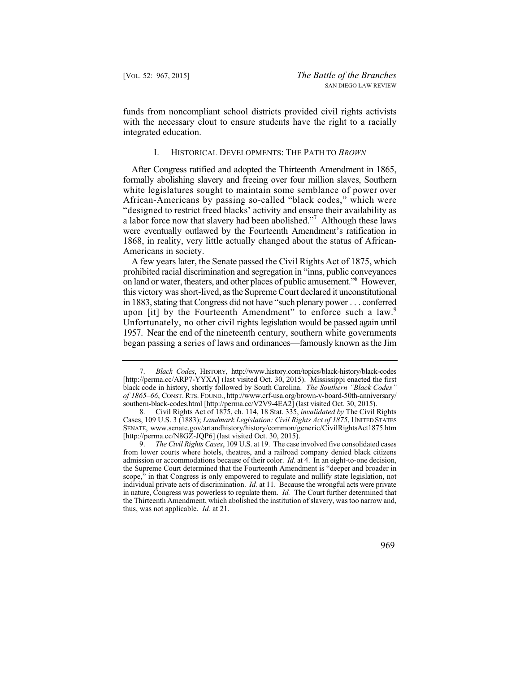funds from noncompliant school districts provided civil rights activists with the necessary clout to ensure students have the right to a racially integrated education.

#### I. HISTORICAL DEVELOPMENTS: THE PATH TO *BROWN*

 white legislatures sought to maintain some semblance of power over a labor force now that slavery had been abolished."<sup>7</sup> Although these laws were eventually outlawed by the Fourteenth Amendment's ratification in After Congress ratified and adopted the Thirteenth Amendment in 1865, formally abolishing slavery and freeing over four million slaves, Southern African-Americans by passing so-called "black codes," which were "designed to restrict freed blacks' activity and ensure their availability as 1868, in reality, very little actually changed about the status of African-Americans in society.

 on land or water, theaters, and other places of public amusement."8 However, 1957. Near the end of the nineteenth century, southern white governments A few years later, the Senate passed the Civil Rights Act of 1875, which prohibited racial discrimination and segregation in "inns, public conveyances this victory was short-lived, as the Supreme Court declared it unconstitutional in 1883, stating that Congress did not have "such plenary power . . . conferred upon [it] by the Fourteenth Amendment" to enforce such a law.<sup>9</sup> Unfortunately, no other civil rights legislation would be passed again until began passing a series of laws and ordinances—famously known as the Jim

 9. *The Civil Rights Cases*, 109 U.S. at 19. The case involved five consolidated cases individual private acts of discrimination. *Id.* at 11. Because the wrongful acts were private in nature, Congress was powerless to regulate them. *Id.* The Court further determined that from lower courts where hotels, theatres, and a railroad company denied black citizens admission or accommodations because of their color. *Id.* at 4. In an eight-to-one decision, the Supreme Court determined that the Fourteenth Amendment is "deeper and broader in scope," in that Congress is only empowered to regulate and nullify state legislation, not the Thirteenth Amendment, which abolished the institution of slavery, was too narrow and, thus, was not applicable. *Id.* at 21.



 7. *Black Codes*, HISTORY, http://www.history.com/topics/black-history/black-codes [http://perma.cc/ARP7-YYXA] (last visited Oct. 30, 2015). Mississippi enacted the first black code in history, shortly followed by South Carolina. *The Southern "Black Codes" of 1865–66*, CONST. RTS. FOUND., http://www.crf-usa.org/brown-v-board-50th-anniversary/ southern-black-codes.html [http://perma.cc/V2V9-4EA2] (last visited Oct. 30, 2015).

<sup>8.</sup> Civil Rights Act of 1875, ch. 114, 18 Stat. 335, *invalidated by* The Civil Rights Cases, 109 U.S. 3 (1883); *Landmark Legislation: Civil Rights Act of 1875*, UNITED STATES SENATE, www.senate.gov/artandhistory/history/common/generic/CivilRightsAct1875.htm [http://perma.cc/N8GZ-JQP6] (last visited Oct. 30, 2015).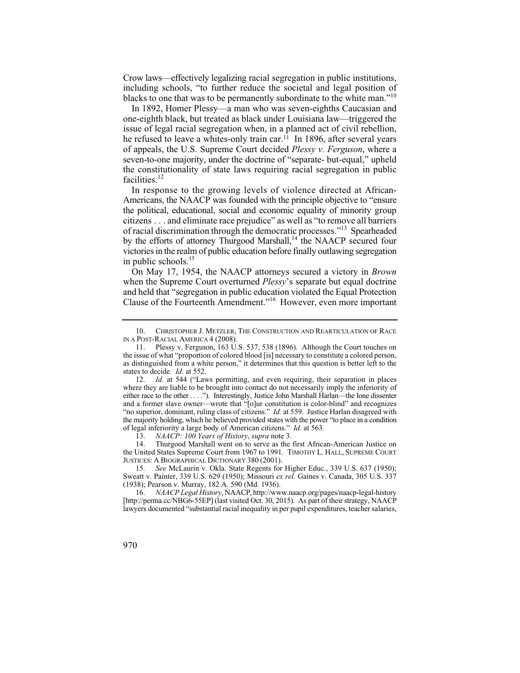Crow laws—effectively legalizing racial segregation in public institutions, including schools, "to further reduce the societal and legal position of blacks to one that was to be permanently subordinate to the white man."<sup>10</sup>

In 1892, Homer Plessy—a man who was seven-eighths Caucasian and one-eighth black, but treated as black under Louisiana law—triggered the issue of legal racial segregation when, in a planned act of civil rebellion, he refused to leave a whites-only train car.<sup>11</sup> In 1896, after several years of appeals, the U.S. Supreme Court decided *Plessy v. Ferguson*, where a seven-to-one majority, under the doctrine of "separate- but-equal," upheld the constitutionality of state laws requiring racial segregation in public facilities.<sup>12</sup>

In response to the growing levels of violence directed at African-Americans, the NAACP was founded with the principle objective to "ensure the political, educational, social and economic equality of minority group citizens . . . and eliminate race prejudice" as well as "to remove all barriers of racial discrimination through the democratic processes."13 Spearheaded by the efforts of attorney Thurgood Marshall,<sup>14</sup> the NAACP secured four victories in the realm of public education before finally outlawing segregation in public schools.<sup>15</sup>

 Clause of the Fourteenth Amendment."16 However, even more important On May 17, 1954, the NAACP attorneys secured a victory in *Brown*  when the Supreme Court overturned *Plessy*'s separate but equal doctrine and held that "segregation in public education violated the Equal Protection

14. Thurgood Marshall went on to serve as the first African-American Justice on the United States Supreme Court from 1967 to 1991. TIMOTHY L. HALL, SUPREME COURT JUSTICES:ABIOGRAPHICAL DICTIONARY 380 (2001).

 10. CHRISTOPHER J. METZLER, THE CONSTRUCTION AND REARTICULATION OF RACE IN A POST-RACIAL AMERICA 4 (2008).<br>11. Plessy v. Ferguson. 163 U.

 states to decide. *Id.* at 552. Plessy v. Ferguson, 163 U.S. 537, 538 (1896). Although the Court touches on the issue of what "proportion of colored blood [is] necessary to constitute a colored person, as distinguished from a white person," it determines that this question is better left to the

<sup>12.</sup> *Id.* at 544 ("Laws permitting, and even requiring, their separation in places the majority holding, which he believed provided states with the power "to place in a condition where they are liable to be brought into contact do not necessarily imply the inferiority of either race to the other . . . ."). Interestingly, Justice John Marshall Harlan—the lone dissenter and a former slave owner—wrote that "[o]ur constitution is color-blind" and recognizes "no superior, dominant, ruling class of citizens." *Id.* at 559. Justice Harlan disagreed with of legal inferiority a large body of American citizens." *Id.* at 563.

 13. *NAACP: 100 Years of History*, *supra* note 3.

 15. *See* McLaurin v. Okla. State Regents for Higher Educ., 339 U.S. 637 (1950); Sweatt v. Painter, 339 U.S. 629 (1950); Missouri *ex rel.* Gaines v. Canada, 305 U.S. 337 (1938); Pearson v. Murray, 182 A. 590 (Md. 1936).

 16. *NAACP Legal History*, NAACP, http://www.naacp.org/pages/naacp-legal-history [http://perma.cc/NBG6-55EP] (last visited Oct. 30, 2015). As part of their strategy, NAACP lawyers documented "substantial racial inequality in per pupil expenditures, teacher salaries,

<sup>970</sup>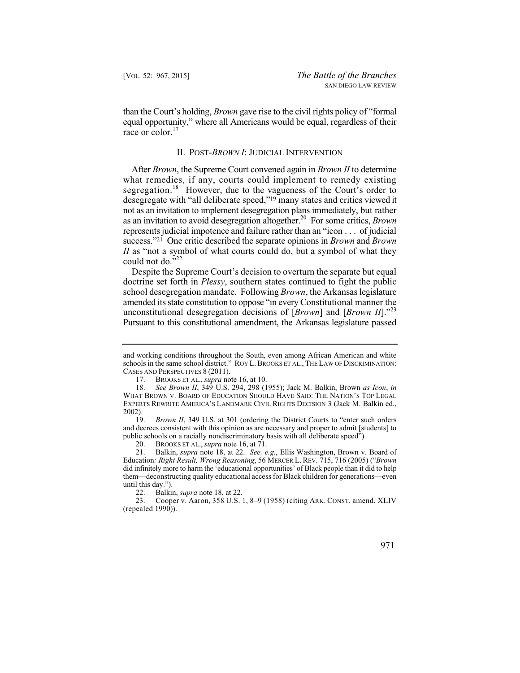equal opportunity," where all Americans would be equal, regardless of their than the Court's holding, *Brown* gave rise to the civil rights policy of "formal race or color.<sup>17</sup>

#### II. POST-*BROWN I*: JUDICIAL INTERVENTION

 desegregate with "all deliberate speed,"19 many states and critics viewed it not as an invitation to implement desegregation plans immediately, but rather as an invitation to avoid desegregation altogether.20 For some critics, *Brown*  After *Brown*, the Supreme Court convened again in *Brown II* to determine what remedies, if any, courts could implement to remedy existing segregation.<sup>18</sup> However, due to the vagueness of the Court's order to represents judicial impotence and failure rather than an "icon . . . of judicial success."21 One critic described the separate opinions in *Brown* and *Brown II* as "not a symbol of what courts could do, but a symbol of what they could not do."<sup>22</sup>

Despite the Supreme Court's decision to overturn the separate but equal doctrine set forth in *Plessy*, southern states continued to fight the public school desegregation mandate. Following *Brown*, the Arkansas legislature amended its state constitution to oppose "in every Constitutional manner the unconstitutional desegregation decisions of [*Brown*] and [*Brown II*]."23 Pursuant to this constitutional amendment, the Arkansas legislature passed

<sup>23.</sup> Cooper v. Aaron, 358 U.S. 1, 8–9 (1958) (citing ARK. CONST. amend. XLIV (repealed 1990)).



and working conditions throughout the South, even among African American and white schools in the same school district." ROY L. BROOKS ET AL., THE LAW OF DISCRIMINATION: CASES AND PERSPECTIVES 8 (2011).

 17. BROOKS ET AL., *supra* note 16, at 10.

 18. *See Brown II*, 349 U.S. 294, 298 (1955); Jack M. Balkin, Brown *as Icon*, *in*  WHAT BROWN V. BOARD OF EDUCATION SHOULD HAVE SAID: THE NATION'S TOP LEGAL EXPERTS REWRITE AMERICA'S LANDMARK CIVIL RIGHTS DECISION 3 (Jack M. Balkin ed.,  $2002$ ).

 19. *Brown II*, 349 U.S. at 301 (ordering the District Courts to "enter such orders and decrees consistent with this opinion as are necessary and proper to admit [students] to public schools on a racially nondiscriminatory basis with all deliberate speed").

 20. BROOKS ET AL., *supra* note 16, at 71.

 21. Balkin, *supra* note 18, at 22. *See, e.g.*, Ellis Washington, Brown v. Board of Education*: Right Result, Wrong Reasoning*, 56 MERCER L. REV. 715, 716 (2005) ("*Brown*  did infinitely more to harm the 'educational opportunities' of Black people than it did to help them—deconstructing quality educational access for Black children for generations—even until this day.").

 22. Balkin, *supra* note 18, at 22.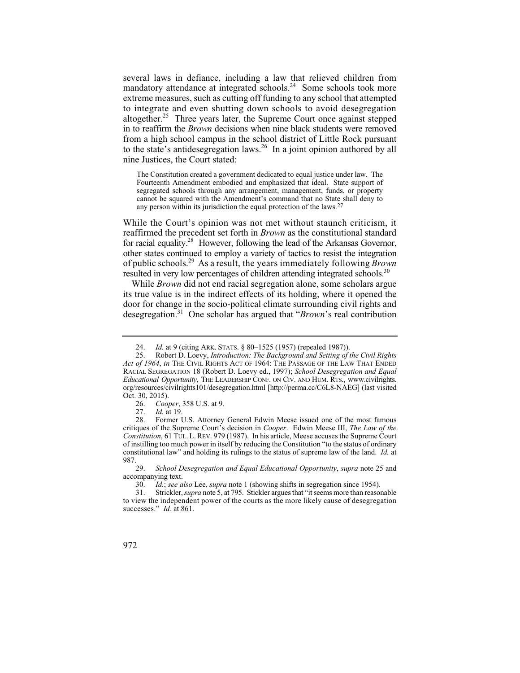several laws in defiance, including a law that relieved children from mandatory attendance at integrated schools.<sup>24</sup> Some schools took more extreme measures, such as cutting off funding to any school that attempted to integrate and even shutting down schools to avoid desegregation altogether.<sup>25</sup> Three years later, the Supreme Court once against stepped in to reaffirm the *Brown* decisions when nine black students were removed from a high school campus in the school district of Little Rock pursuant to the state's antidesegregation laws.<sup>26</sup> In a joint opinion authored by all nine Justices, the Court stated:

The Constitution created a government dedicated to equal justice under law. The Fourteenth Amendment embodied and emphasized that ideal. State support of segregated schools through any arrangement, management, funds, or property cannot be squared with the Amendment's command that no State shall deny to any person within its jurisdiction the equal protection of the laws.27

 of public schools.29 As a result, the years immediately following *Brown*  While the Court's opinion was not met without staunch criticism, it reaffirmed the precedent set forth in *Brown* as the constitutional standard for racial equality.28 However, following the lead of the Arkansas Governor, other states continued to employ a variety of tactics to resist the integration resulted in very low percentages of children attending integrated schools.<sup>30</sup>

While *Brown* did not end racial segregation alone, some scholars argue its true value is in the indirect effects of its holding, where it opened the door for change in the socio-political climate surrounding civil rights and desegregation.31 One scholar has argued that "*Brown*'s real contribution

 24. *Id.* at 9 (citing ARK. STATS. § 80–1525 (1957) (repealed 1987)).

 *Act of 1964*, *in* THE CIVIL RIGHTS ACT OF 1964: THE PASSAGE OF THE LAW THAT ENDED 25. Robert D. Loevy, *Introduction: The Background and Setting of the Civil Rights*  RACIAL SEGREGATION 18 (Robert D. Loevy ed., 1997); *School Desegregation and Equal Educational Opportunity*, THE LEADERSHIP CONF. ON CIV. AND HUM. RTS., www.civilrights. org/resources/civilrights101/desegregation.html [http://perma.cc/C6L8-NAEG] (last visited Oct. 30, 2015).<br>26. Cool

 26. *Cooper*, 358 U.S. at 9.

 27. *Id.* at 19.

<sup>28.</sup> Former U.S. Attorney General Edwin Meese issued one of the most famous critiques of the Supreme Court's decision in *Cooper*. Edwin Meese III, *The Law of the Constitution*, 61 TUL. L. REV. 979 (1987). In his article, Meese accuses the Supreme Court of instilling too much power in itself by reducing the Constitution "to the status of ordinary constitutional law" and holding its rulings to the status of supreme law of the land. *Id.* at  $987.29.$ 

 29. *School Desegregation and Equal Educational Opportunity*, *supra* note 25 and accompanying text.<br>30. Id.; see al.

 30. *Id.*; *see also* Lee, *supra* note 1 (showing shifts in segregation since 1954).

<sup>31.</sup> Strickler, *supra* note 5, at 795. Stickler argues that "it seems more than reasonable to view the independent power of the courts as the more likely cause of desegregation successes." *Id.* at 861.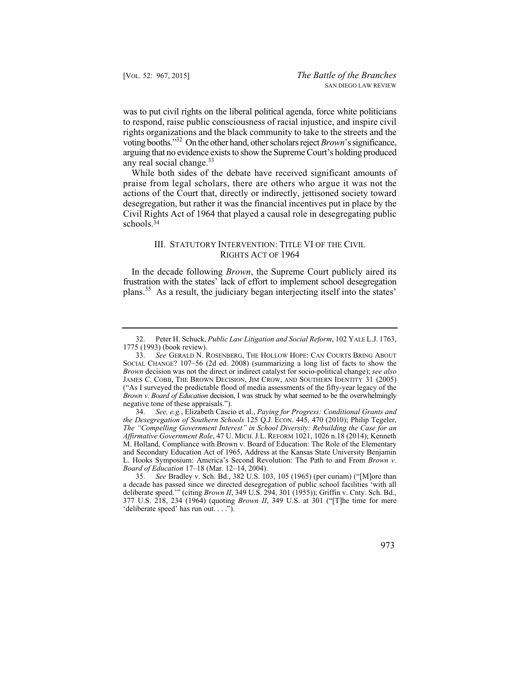was to put civil rights on the liberal political agenda, force white politicians to respond, raise public consciousness of racial injustice, and inspire civil rights organizations and the black community to take to the streets and the voting booths."32 On the other hand, other scholars reject *Brown*'s significance, arguing that no evidence exists to show the Supreme Court's holding produced any real social change. $33$ 

 praise from legal scholars, there are others who argue it was not the While both sides of the debate have received significant amounts of actions of the Court that, directly or indirectly, jettisoned society toward desegregation, but rather it was the financial incentives put in place by the Civil Rights Act of 1964 that played a causal role in desegregating public schools.34

## III. STATUTORY INTERVENTION: TITLE VI OF THE CIVIL RIGHTS ACT OF 1964

In the decade following *Brown*, the Supreme Court publicly aired its frustration with the states' lack of effort to implement school desegregation plans.35 As a result, the judiciary began interjecting itself into the states'

 35. *See* Bradley v. Sch. Bd., 382 U.S. 103, 105 (1965) (per curiam) ("[M]ore than a decade has passed since we directed desegregation of public school facilities 'with all deliberate speed.'" (citing *Brown II*, 349 U.S. 294, 301 (1955)); Griffin v. Cnty. Sch. Bd., 377 U.S. 218, 234 (1964) (quoting *Brown II*, 349 U.S. at 301 ("[T]he time for mere 'deliberate speed' has run out. . . .").



<sup>32.</sup> Peter H. Schuck, *Public Law Litigation and Social Reform*, 102 YALE L.J. 1763, 1775 (1993) (book review).

 33. *See* GERALD N. ROSENBERG, THE HOLLOW HOPE: CAN COURTS BRING ABOUT ("As I surveyed the predictable flood of media assessments of the fifty-year legacy of the SOCIAL CHANGE? 107–56 (2d ed. 2008) (summarizing a long list of facts to show the *Brown* decision was not the direct or indirect catalyst for socio-political change); *see also*  JAMES C. COBB, THE BROWN DECISION, JIM CROW, AND SOUTHERN IDENTITY 31 (2005) *Brown v. Board of Education* decision, I was struck by what seemed to be the overwhelmingly negative tone of these appraisals.").

 34. *See, e.g.*, Elizabeth Cascio et al., *Paying for Progress: Conditional Grants and the Desegregation of Southern Schools* 125 Q.J. ECON. 445, 470 (2010); Philip Tegeler, *The "Compelling Government Interest" in School Diversity: Rebuilding the Case for an Affirmative Government Role*, 47 U. MICH. J.L. REFORM 1021, 1026 n.18 (2014); Kenneth M. Holland, Compliance with Brown v. Board of Education: The Role of the Elementary and Secondary Education Act of 1965, Address at the Kansas State University Benjamin L. Hooks Symposium: America's Second Revolution: The Path to and From *Brown v. Board of Education* 17–18 (Mar. 12–14, 2004).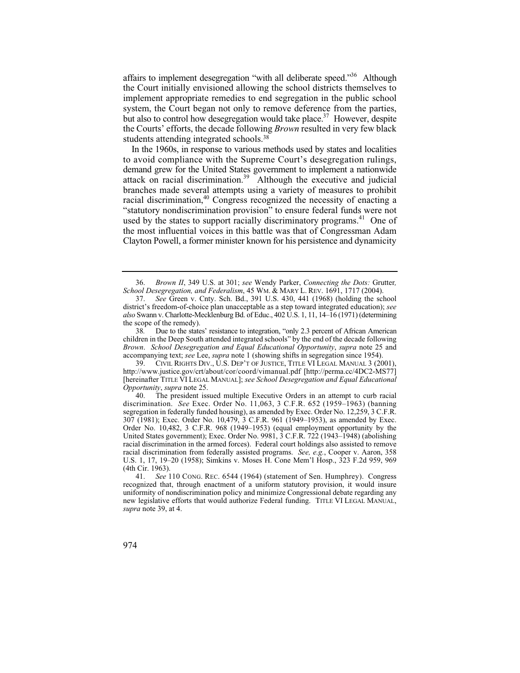affairs to implement desegregation "with all deliberate speed."<sup>36</sup> Although the Court initially envisioned allowing the school districts themselves to implement appropriate remedies to end segregation in the public school system, the Court began not only to remove deference from the parties, but also to control how desegregation would take place.<sup>37</sup> However, despite the Courts' efforts, the decade following *Brown* resulted in very few black students attending integrated schools.<sup>38</sup>

In the 1960s, in response to various methods used by states and localities to avoid compliance with the Supreme Court's desegregation rulings, demand grew for the United States government to implement a nationwide attack on racial discrimination.39 Although the executive and judicial branches made several attempts using a variety of measures to prohibit racial discrimination, $40$  Congress recognized the necessity of enacting a "statutory nondiscrimination provision" to ensure federal funds were not used by the states to support racially discriminatory programs.<sup>41</sup> One of the most influential voices in this battle was that of Congressman Adam Clayton Powell, a former minister known for his persistence and dynamicity

 36. *Brown II*, 349 U.S. at 301; *see* Wendy Parker, *Connecting the Dots:* Grutter*, School Desegregation, and Federalism*, 45 WM. & MARY L. REV. 1691, 1717 (2004).

 37. *See* Green v. Cnty. Sch. Bd., 391 U.S. 430, 441 (1968) (holding the school district's freedom-of-choice plan unacceptable as a step toward integrated education); *see also* Swann v. Charlotte-Mecklenburg Bd. of Educ., 402 U.S. 1, 11, 14–16 (1971) (determining the scope of the remedy).

<sup>38.</sup>  children in the Deep South attended integrated schools" by the end of the decade following Due to the states' resistance to integration, "only 2.3 percent of African American *Brown*. *School Desegregation and Equal Educational Opportunity*, *supra* note 25 and accompanying text; *see* Lee, *supra* note 1 (showing shifts in segregation since 1954).

 39. CIVIL RIGHTS DIV., U.S. DEP'T OF JUSTICE, TITLE VI LEGAL MANUAL 3 (2001), http://www.justice.gov/crt/about/cor/coord/vimanual.pdf [http://perma.cc/4DC2-MS77] [hereinafter TITLE VI LEGAL MANUAL]; *see School Desegregation and Equal Educational Opportunity*, *supra* note 25.<br>40 The president iss

The president issued multiple Executive Orders in an attempt to curb racial discrimination. *See* Exec. Order No. 11,063, 3 C.F.R. 652 (1959–1963) (banning segregation in federally funded housing), as amended by Exec. Order No. 12,259, 3 C.F.R. 307 (1981); Exec. Order No. 10,479, 3 C.F.R. 961 (1949–1953), as amended by Exec. Order No. 10,482, 3 C.F.R. 968 (1949–1953) (equal employment opportunity by the United States government); Exec. Order No. 9981, 3 C.F.R. 722 (1943–1948) (abolishing racial discrimination in the armed forces). Federal court holdings also assisted to remove racial discrimination from federally assisted programs. *See, e.g.*, Cooper v. Aaron, 358 U.S. 1, 17, 19–20 (1958); Simkins v. Moses H. Cone Mem'l Hosp., 323 F.2d 959, 969 (4th Cir. 1963).

 41. *See* 110 CONG. REC. 6544 (1964) (statement of Sen. Humphrey). Congress recognized that, through enactment of a uniform statutory provision, it would insure uniformity of nondiscrimination policy and minimize Congressional debate regarding any new legislative efforts that would authorize Federal funding. TITLE VI LEGAL MANUAL, *supra* note 39, at 4.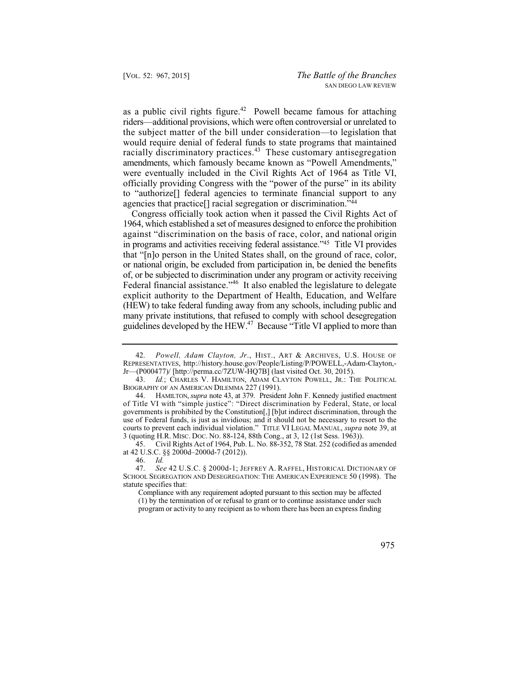the subject matter of the bill under consideration—to legislation that as a public civil rights figure.<sup>42</sup> Powell became famous for attaching riders—additional provisions, which were often controversial or unrelated to would require denial of federal funds to state programs that maintained racially discriminatory practices.<sup>43</sup> These customary antisegregation amendments, which famously became known as "Powell Amendments," were eventually included in the Civil Rights Act of 1964 as Title VI, officially providing Congress with the "power of the purse" in its ability to "authorize[] federal agencies to terminate financial support to any agencies that practice[] racial segregation or discrimination."44

 against "discrimination on the basis of race, color, and national origin (HEW) to take federal funding away from any schools, including public and Congress officially took action when it passed the Civil Rights Act of 1964, which established a set of measures designed to enforce the prohibition in programs and activities receiving federal assistance."45 Title VI provides that "[n]o person in the United States shall, on the ground of race, color, or national origin, be excluded from participation in, be denied the benefits of, or be subjected to discrimination under any program or activity receiving Federal financial assistance."<sup>46</sup> It also enabled the legislature to delegate explicit authority to the Department of Health, Education, and Welfare many private institutions, that refused to comply with school desegregation guidelines developed by the HEW.47 Because "Title VI applied to more than

45. Civil Rights Act of 1964, Pub. L. No. 88-352, 78 Stat. 252 (codified as amended at 42 U.S.C. §§ 2000d–2000d-7 (2012)).

 42. *Powell, Adam Clayton, Jr*., HIST., ART & ARCHIVES, U.S. HOUSE OF REPRESENTATIVES, http://history.house.gov/People/Listing/P/POWELL,-Adam-Clayton, Jr—(P000477)/ [http://perma.cc/7ZUW-HQ7B] (last visited Oct. 30, 2015).

 43. *Id.*; CHARLES V. HAMILTON, ADAM CLAYTON POWELL, JR.: THE POLITICAL BIOGRAPHY OF AN AMERICAN DILEMMA 227 (1991).

 44. HAMILTON, *supra* note 43, at 379. President John F. Kennedy justified enactment of Title VI with "simple justice": "Direct discrimination by Federal, State, or local governments is prohibited by the Constitution[,] [b]ut indirect discrimination, through the use of Federal funds, is just as invidious; and it should not be necessary to resort to the courts to prevent each individual violation." TITLE VI LEGAL MANUAL, *supra* note 39, at 3 (quoting H.R. MISC. DOC. NO. 88-124, 88th Cong., at 3, 12 (1st Sess. 1963)).

Id.

 47. *See* 42 U.S.C. § 2000d-1; JEFFREY A. RAFFEL, HISTORICAL DICTIONARY OF 46. *Id.* SCHOOL SEGREGATION AND DESEGREGATION: THE AMERICAN EXPERIENCE 50 (1998). The statute specifies that:

Compliance with any requirement adopted pursuant to this section may be affected (1) by the termination of or refusal to grant or to continue assistance under such program or activity to any recipient as to whom there has been an express finding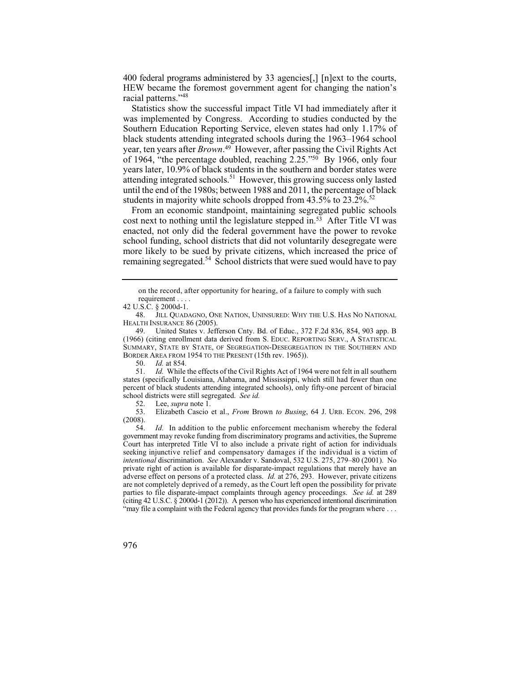400 federal programs administered by 33 agencies[,] [n]ext to the courts, HEW became the foremost government agent for changing the nation's racial patterns."<sup>48</sup>

Statistics show the successful impact Title VI had immediately after it was implemented by Congress. According to studies conducted by the Southern Education Reporting Service, eleven states had only 1.17% of black students attending integrated schools during the 1963–1964 school year, ten years after *Brown*. 49 However, after passing the Civil Rights Act of 1964, "the percentage doubled, reaching 2.25."50 By 1966, only four years later, 10.9% of black students in the southern and border states were attending integrated schools.<sup>51</sup> However, this growing success only lasted until the end of the 1980s; between 1988 and 2011, the percentage of black students in majority white schools dropped from  $43.5\%$  to  $23.2\%$ <sup>52</sup>

From an economic standpoint, maintaining segregated public schools cost next to nothing until the legislature stepped in.53 After Title VI was enacted, not only did the federal government have the power to revoke school funding, school districts that did not voluntarily desegregate were more likely to be sued by private citizens, which increased the price of remaining segregated.<sup>54</sup> School districts that were sued would have to pay

52. Lee, *supra* note 1.

53. Elizabeth Cascio et al., *From* Brown *to Busing*, 64 J. URB. ECON. 296, 298  $(2008).$ <br>54.

 are not completely deprived of a remedy, as the Court left open the possibility for private "may file a complaint with the Federal agency that provides funds for the program where . . . Id. In addition to the public enforcement mechanism whereby the federal government may revoke funding from discriminatory programs and activities, the Supreme Court has interpreted Title VI to also include a private right of action for individuals seeking injunctive relief and compensatory damages if the individual is a victim of *intentional* discrimination. *See* Alexander v. Sandoval, 532 U.S. 275, 279–80 (2001). No private right of action is available for disparate-impact regulations that merely have an adverse effect on persons of a protected class. *Id.* at 276, 293. However, private citizens parties to file disparate-impact complaints through agency proceedings. *See id.* at 289 (citing 42 U.S.C. § 2000d-1 (2012)). A person who has experienced intentional discrimination

on the record, after opportunity for hearing, of a failure to comply with such requirement . . . .

<sup>42</sup> U.S.C. § 2000d-1.

 48. JILL QUADAGNO, ONE NATION, UNINSURED: WHY THE U.S. HAS NO NATIONAL HEALTH INSURANCE 86 (2005).

<sup>49.</sup> United States v. Jefferson Cnty. Bd. of Educ., 372 F.2d 836, 854, 903 app. B (1966) (citing enrollment data derived from S. EDUC. REPORTING SERV., A STATISTICAL SUMMARY, STATE BY STATE, OF SEGREGATION-DESEGREGATION IN THE SOUTHERN AND BORDER AREA FROM 1954 TO THE PRESENT (15th rev. 1965)).<br>50. Id. at 854.

 50. *Id.* at 854.

 51. *Id.* While the effects of the Civil Rights Act of 1964 were not felt in all southern states (specifically Louisiana, Alabama, and Mississippi, which still had fewer than one percent of black students attending integrated schools), only fifty-one percent of biracial school districts were still segregated. *See id.*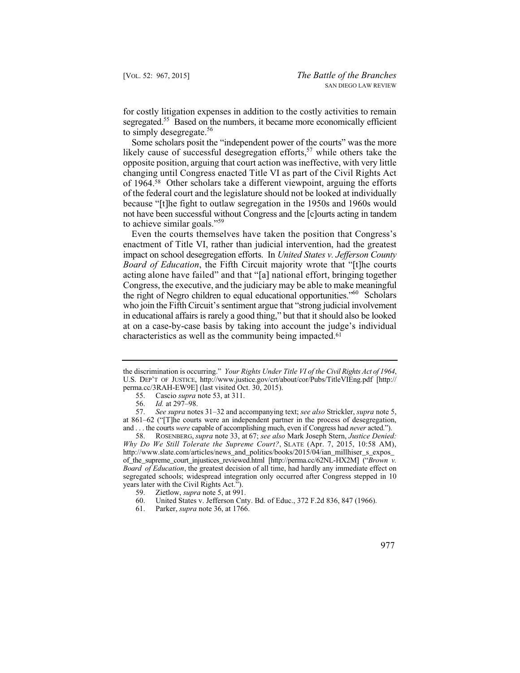for costly litigation expenses in addition to the costly activities to remain segregated.<sup>55</sup> Based on the numbers, it became more economically efficient to simply desegregate.<sup>56</sup>

Some scholars posit the "independent power of the courts" was the more likely cause of successful desegregation efforts, $57$  while others take the opposite position, arguing that court action was ineffective, with very little changing until Congress enacted Title VI as part of the Civil Rights Act of 1964.58 Other scholars take a different viewpoint, arguing the efforts of the federal court and the legislature should not be looked at individually because "[t]he fight to outlaw segregation in the 1950s and 1960s would not have been successful without Congress and the [c]ourts acting in tandem to achieve similar goals."<sup>59</sup>

 Even the courts themselves have taken the position that Congress's enactment of Title VI, rather than judicial intervention, had the greatest impact on school desegregation efforts. In *United States v. Jefferson County Board of Education*, the Fifth Circuit majority wrote that "[t]he courts acting alone have failed" and that "[a] national effort, bringing together Congress, the executive, and the judiciary may be able to make meaningful the right of Negro children to equal educational opportunities."<sup>60</sup> Scholars who join the Fifth Circuit's sentiment argue that "strong judicial involvement in educational affairs is rarely a good thing," but that it should also be looked at on a case-by-case basis by taking into account the judge's individual characteristics as well as the community being impacted.<sup>61</sup>

60. United States v. Jefferson Cnty. Bd. of Educ., 372 F.2d 836, 847 (1966).<br>61. Parker, *supra* note 36, at 1766.

 61. Parker, *supra* note 36, at 1766.



 the discrimination is occurring." *Your Rights Under Title VI of the Civil Rights Act of 1964*, U.S. DEP'T OF JUSTICE, http://www.justice.gov/crt/about/cor/Pubs/TitleVIEng.pdf [http:// perma.cc/3RAH-EW9E] (last visited Oct. 30, 2015).

 55. Cascio *supra* note 53, at 311.

 56. *Id.* at 297–98.

 57. *See supra* notes 31–32 and accompanying text; *see also* Strickler, *supra* note 5, and . . . the courts *were* capable of accomplishing much, even if Congress had *never* acted."). at 861–62 ("[T]he courts were an independent partner in the process of desegregation,

 58. ROSENBERG, *supra* note 33, at 67; *see also* Mark Joseph Stern, *Justice Denied: Why Do We Still Tolerate the Supreme Court?*, SLATE (Apr. 7, 2015, 10:58 AM),  *Board of Education*, the greatest decision of all time, had hardly any immediate effect on segregated schools; widespread integration only occurred after Congress stepped in 10 http://www.slate.com/articles/news\_and\_politics/books/2015/04/ian\_millhiser\_s\_expos\_ of\_the\_supreme\_court\_injustices\_reviewed.html [http://perma.cc/62NL-HX2M] ("*Brown v.*  years later with the Civil Rights Act.").

 59. Zietlow, *supra* note 5, at 991.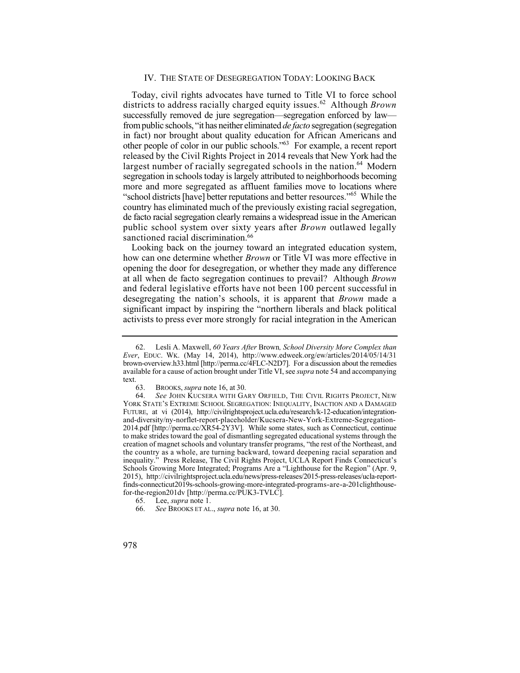other people of color in our public schools."<sup>63</sup> For example, a recent report released by the Civil Rights Project in 2014 reveals that New York had the more and more segregated as affluent families move to locations where "school districts [have] better reputations and better resources."<sup>65</sup> While the Today, civil rights advocates have turned to Title VI to force school districts to address racially charged equity issues.<sup>62</sup> Although *Brown* successfully removed de jure segregation—segregation enforced by law from public schools, "it has neither eliminated *de facto* segregation (segregation in fact) nor brought about quality education for African Americans and largest number of racially segregated schools in the nation.<sup>64</sup> Modern segregation in schools today is largely attributed to neighborhoods becoming country has eliminated much of the previously existing racial segregation, de facto racial segregation clearly remains a widespread issue in the American public school system over sixty years after *Brown* outlawed legally sanctioned racial discrimination.<sup>66</sup>

 and federal legislative efforts have not been 100 percent successful in desegregating the nation's schools, it is apparent that *Brown* made a Looking back on the journey toward an integrated education system, how can one determine whether *Brown* or Title VI was more effective in opening the door for desegregation, or whether they made any difference at all when de facto segregation continues to prevail? Although *Brown*  significant impact by inspiring the "northern liberals and black political activists to press ever more strongly for racial integration in the American

<sup>62.</sup> Lesli A. Maxwell, *60 Years After* Brown*, School Diversity More Complex than Ever*, EDUC. WK. (May 14, 2014), http://www.edweek.org/ew/articles/2014/05/14/31 brown-overview.h33.html [http://perma.cc/4FLC-N2D7]. For a discussion about the remedies available for a cause of action brought under Title VI, see *supra* note 54 and accompanying text.

 63. BROOKS, *supra* note 16, at 30.

 64. *See* JOHN KUCSERA WITH GARY ORFIELD, THE CIVIL RIGHTS PROJECT, NEW the country as a whole, are turning backward, toward deepening racial separation and YORK STATE'S EXTREME SCHOOL SEGREGATION: INEQUALITY, INACTION AND A DAMAGED FUTURE, at vi (2014), http://civilrightsproject.ucla.edu/research/k-12-education/integrationand-diversity/ny-norflet-report-placeholder/Kucsera-New-York-Extreme-Segregation-2014.pdf [http://perma.cc/XR54-2Y3V]. While some states, such as Connecticut, continue to make strides toward the goal of dismantling segregated educational systems through the creation of magnet schools and voluntary transfer programs, "the rest of the Northeast, and inequality." Press Release, The Civil Rights Project, UCLA Report Finds Connecticut's Schools Growing More Integrated; Programs Are a "Lighthouse for the Region" (Apr. 9, 2015), http://civilrightsproject.ucla.edu/news/press-releases/2015-press-releases/ucla-reportfinds-connecticut2019s-schools-growing-more-integrated-programs-are-a-201clighthousefor-the-region201dv [http://perma.cc/PUK3-TVLC].<br>65. Lee, *supra* note 1.

 65. Lee, *supra* note 1.

 66. *See* BROOKS ET AL., *supra* note 16, at 30.

<sup>978</sup>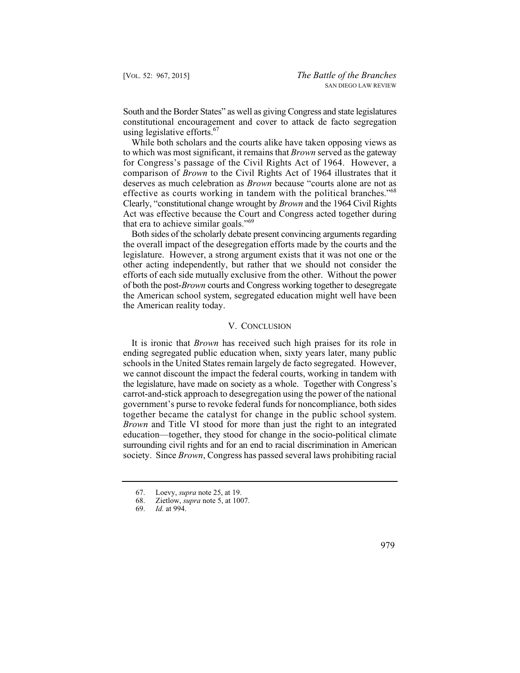South and the Border States" as well as giving Congress and state legislatures constitutional encouragement and cover to attack de facto segregation using legislative efforts. $67$ 

While both scholars and the courts alike have taken opposing views as to which was most significant, it remains that *Brown* served as the gateway for Congress's passage of the Civil Rights Act of 1964. However, a comparison of *Brown* to the Civil Rights Act of 1964 illustrates that it deserves as much celebration as *Brown* because "courts alone are not as effective as courts working in tandem with the political branches."<sup>68</sup> Clearly, "constitutional change wrought by *Brown* and the 1964 Civil Rights Act was effective because the Court and Congress acted together during that era to achieve similar goals."<sup>69</sup>

Both sides of the scholarly debate present convincing arguments regarding the overall impact of the desegregation efforts made by the courts and the legislature. However, a strong argument exists that it was not one or the other acting independently, but rather that we should not consider the efforts of each side mutually exclusive from the other. Without the power of both the post-*Brown* courts and Congress working together to desegregate the American school system, segregated education might well have been the American reality today.

## V. CONCLUSION

 together became the catalyst for change in the public school system. It is ironic that *Brown* has received such high praises for its role in ending segregated public education when, sixty years later, many public schools in the United States remain largely de facto segregated. However, we cannot discount the impact the federal courts, working in tandem with the legislature, have made on society as a whole. Together with Congress's carrot-and-stick approach to desegregation using the power of the national government's purse to revoke federal funds for noncompliance, both sides *Brown* and Title VI stood for more than just the right to an integrated education—together, they stood for change in the socio-political climate surrounding civil rights and for an end to racial discrimination in American society. Since *Brown*, Congress has passed several laws prohibiting racial

 69. *Id.* at 994.



 67. Loevy, *supra* note 25, at 19.

 68. Zietlow, *supra* note 5, at 1007.